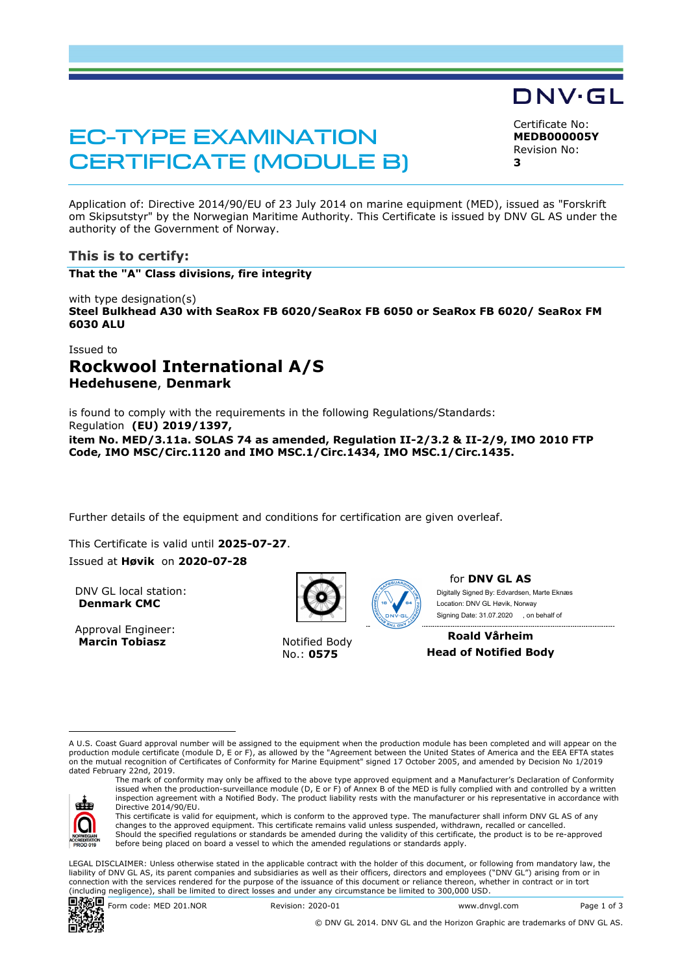# EC-TYPE EXAMINATION CERTIFICATE (MODULE B)

Certificate No: **MEDB000005Y** Revision No: **3** 

DNV·GL

Application of: Directive 2014/90/EU of 23 July 2014 on marine equipment (MED), issued as "Forskrift om Skipsutstyr" by the Norwegian Maritime Authority. This Certificate is issued by DNV GL AS under the authority of the Government of Norway.

## **This is to certify:**

**That the "A" Class divisions, fire integrity**

with type designation(s) **Steel Bulkhead A30 with SeaRox FB 6020/SeaRox FB 6050 or SeaRox FB 6020/ SeaRox FM 6030 ALU**

## Issued to **Rockwool International A/S Hedehusene**, **Denmark**

is found to comply with the requirements in the following Regulations/Standards: Regulation **(EU) 2019/1397, item No. MED/3.11a. SOLAS 74 as amended, Regulation II-2/3.2 & II-2/9, IMO 2010 FTP Code, IMO MSC/Circ.1120 and IMO MSC.1/Circ.1434, IMO MSC.1/Circ.1435.** 

Further details of the equipment and conditions for certification are given overleaf.

This Certificate is valid until 2025-07-27.

Issued at **Høvik** on **2020-07-28**

DNV GL local station: **Denmark CMC**

Approval Engineer: **Marcin Tobiasz Notified Body** 



No.: **0575**



for **DNV GL AS** Digitally Signed By: Edvardsen, Marte Eknæs Signing Date: 31.07.2020 , on behalf ofLocation: DNV GL Høvik, Norway

**Roald Vårheim Head of Notified Body**

A U.S. Coast Guard approval number will be assigned to the equipment when the production module has been completed and will appear on the production module certificate (module D, E or F), as allowed by the "Agreement between the United States of America and the EEA EFTA states on the mutual recognition of Certificates of Conformity for Marine Equipment" signed 17 October 2005, and amended by Decision No 1/2019 dated February 22nd, 2019. The mark of conformity may only be affixed to the above type approved equipment and a Manufacturer's Declaration of Conformity



issued when the production-surveillance module (D, E or F) of Annex B of the MED is fully complied with and controlled by a written inspection agreement with a Notified Body. The product liability rests with the manufacturer or his representative in accordance with Directive 2014/90/EU. This certificate is valid for equipment, which is conform to the approved type. The manufacturer shall inform DNV GL AS of any

changes to the approved equipment. This certificate remains valid unless suspended, withdrawn, recalled or cancelled. Should the specified regulations or standards be amended during the validity of this certificate, the product is to be re-approved before being placed on board a vessel to which the amended regulations or standards apply.

LEGAL DISCLAIMER: Unless otherwise stated in the applicable contract with the holder of this document, or following from mandatory law, the liability of DNV GL AS, its parent companies and subsidiaries as well as their officers, directors and employees ("DNV GL") arising from or in connection with the services rendered for the purpose of the issuance of this document or reliance thereon, whether in contract or in tort (including negligence), shall be limited to direct losses and under any circumstance be limited to 300,000 USD.



© DNV GL 2014. DNV GL and the Horizon Graphic are trademarks of DNV GL AS.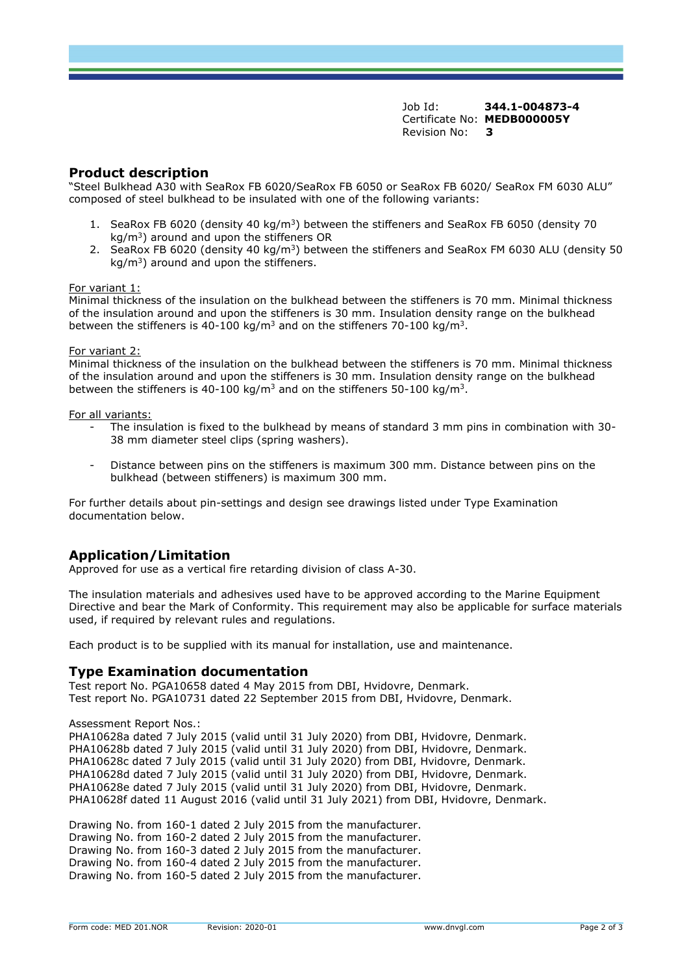Job Id: **344.1-004873-4** Certificate No: **MEDB000005Y** Revision No: **3** 

## **Product description**

"Steel Bulkhead A30 with SeaRox FB 6020/SeaRox FB 6050 or SeaRox FB 6020/ SeaRox FM 6030 ALU" composed of steel bulkhead to be insulated with one of the following variants:

- 1. SeaRox FB 6020 (density 40 kg/m<sup>3</sup>) between the stiffeners and SeaRox FB 6050 (density 70 kg/m<sup>3</sup>) around and upon the stiffeners OR
- 2. SeaRox FB 6020 (density 40 kg/m<sup>3</sup>) between the stiffeners and SeaRox FM 6030 ALU (density 50  $ka/m<sup>3</sup>$ ) around and upon the stiffeners.

#### For variant 1:

Minimal thickness of the insulation on the bulkhead between the stiffeners is 70 mm. Minimal thickness of the insulation around and upon the stiffeners is 30 mm. Insulation density range on the bulkhead between the stiffeners is 40-100 kg/m<sup>3</sup> and on the stiffeners 70-100 kg/m<sup>3</sup>.

#### For variant 2:

Minimal thickness of the insulation on the bulkhead between the stiffeners is 70 mm. Minimal thickness of the insulation around and upon the stiffeners is 30 mm. Insulation density range on the bulkhead between the stiffeners is 40-100 kg/m<sup>3</sup> and on the stiffeners 50-100 kg/m<sup>3</sup>.

#### For all variants:

- The insulation is fixed to the bulkhead by means of standard 3 mm pins in combination with 30- 38 mm diameter steel clips (spring washers).
- Distance between pins on the stiffeners is maximum 300 mm. Distance between pins on the bulkhead (between stiffeners) is maximum 300 mm.

For further details about pin-settings and design see drawings listed under Type Examination documentation below.

## **Application/Limitation**

Approved for use as a vertical fire retarding division of class A-30.

The insulation materials and adhesives used have to be approved according to the Marine Equipment Directive and bear the Mark of Conformity. This requirement may also be applicable for surface materials used, if required by relevant rules and regulations.

Each product is to be supplied with its manual for installation, use and maintenance.

#### **Type Examination documentation**

Test report No. PGA10658 dated 4 May 2015 from DBI, Hvidovre, Denmark. Test report No. PGA10731 dated 22 September 2015 from DBI, Hvidovre, Denmark.

Assessment Report Nos.:

PHA10628a dated 7 July 2015 (valid until 31 July 2020) from DBI, Hvidovre, Denmark. PHA10628b dated 7 July 2015 (valid until 31 July 2020) from DBI, Hvidovre, Denmark. PHA10628c dated 7 July 2015 (valid until 31 July 2020) from DBI, Hvidovre, Denmark. PHA10628d dated 7 July 2015 (valid until 31 July 2020) from DBI, Hvidovre, Denmark. PHA10628e dated 7 July 2015 (valid until 31 July 2020) from DBI, Hvidovre, Denmark. PHA10628f dated 11 August 2016 (valid until 31 July 2021) from DBI, Hvidovre, Denmark.

Drawing No. from 160-1 dated 2 July 2015 from the manufacturer. Drawing No. from 160-2 dated 2 July 2015 from the manufacturer. Drawing No. from 160-3 dated 2 July 2015 from the manufacturer. Drawing No. from 160-4 dated 2 July 2015 from the manufacturer. Drawing No. from 160-5 dated 2 July 2015 from the manufacturer.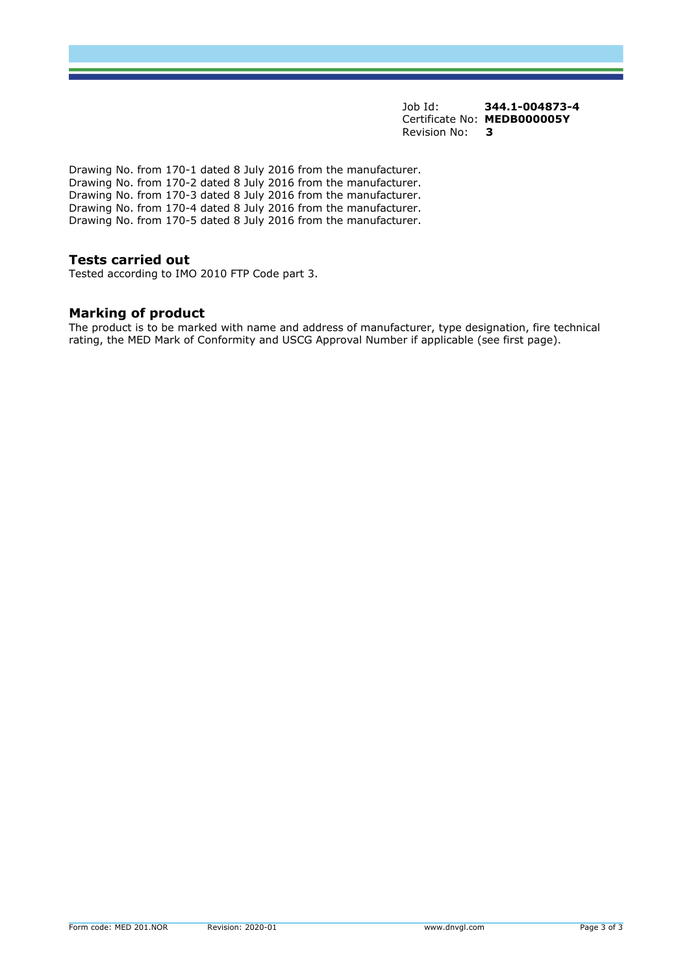Job Id: **344.1-004873-4** Certificate No: **MEDB000005Y** Revision No: **3** 

Drawing No. from 170-1 dated 8 July 2016 from the manufacturer. Drawing No. from 170-2 dated 8 July 2016 from the manufacturer. Drawing No. from 170-3 dated 8 July 2016 from the manufacturer. Drawing No. from 170-4 dated 8 July 2016 from the manufacturer. Drawing No. from 170-5 dated 8 July 2016 from the manufacturer.

### **Tests carried out**

Tested according to IMO 2010 FTP Code part 3.

## **Marking of product**

The product is to be marked with name and address of manufacturer, type designation, fire technical rating, the MED Mark of Conformity and USCG Approval Number if applicable (see first page).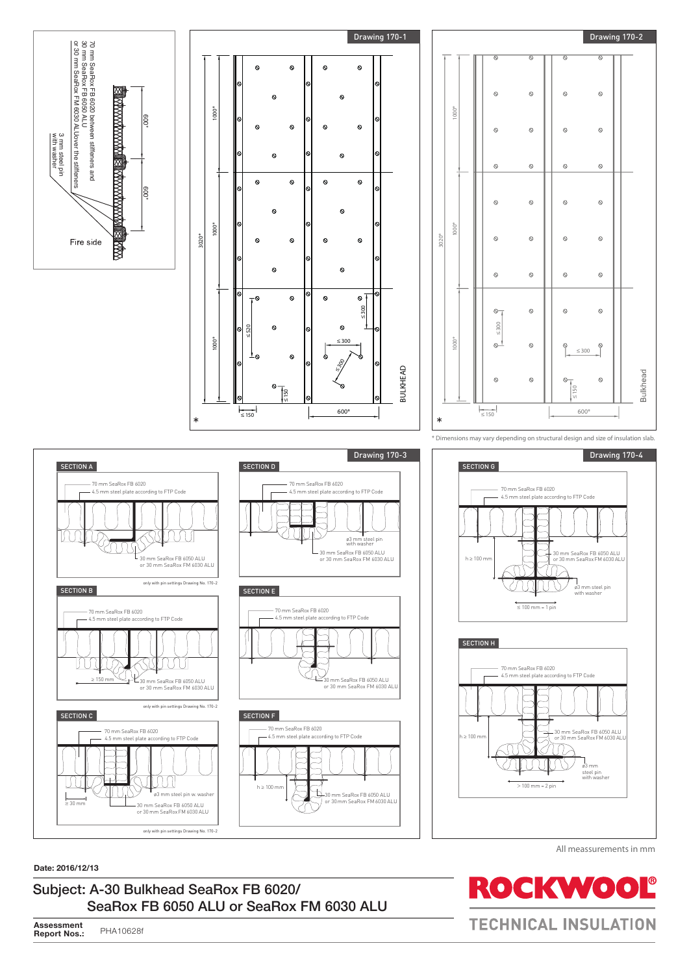









 $>100$  mm = 2 pin

All meassurements in mm

ø3 mm steel pin with washer



**Date: 2016/12/13**

## Subject: A-30 Bulkhead SeaRox FB 6020/ SeaRox FB 6050 ALU or SeaRox FM 6030 ALU